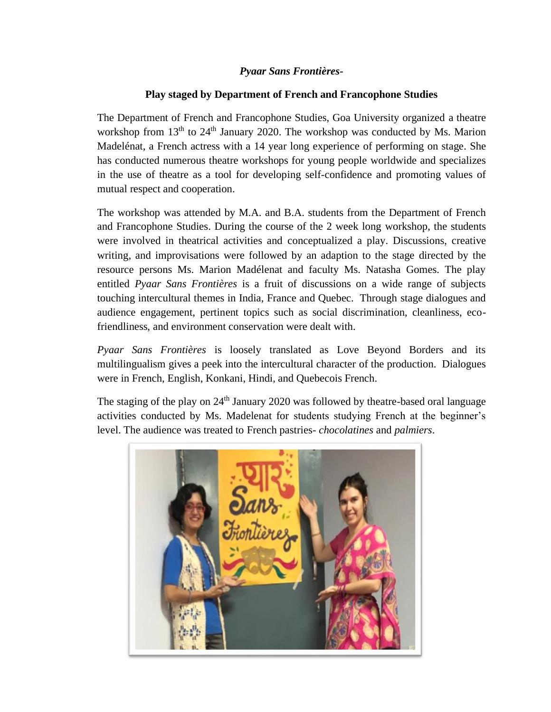## *Pyaar Sans Frontières-*

## **Play staged by Department of French and Francophone Studies**

The Department of French and Francophone Studies, Goa University organized a theatre workshop from  $13<sup>th</sup>$  to  $24<sup>th</sup>$  January 2020. The workshop was conducted by Ms. Marion Madelénat, a French actress with a 14 year long experience of performing on stage. She has conducted numerous theatre workshops for young people worldwide and specializes in the use of theatre as a tool for developing self-confidence and promoting values of mutual respect and cooperation.

The workshop was attended by M.A. and B.A. students from the Department of French and Francophone Studies. During the course of the 2 week long workshop, the students were involved in theatrical activities and conceptualized a play. Discussions, creative writing, and improvisations were followed by an adaption to the stage directed by the resource persons Ms. Marion Madélenat and faculty Ms. Natasha Gomes. The play entitled *Pyaar Sans Frontières* is a fruit of discussions on a wide range of subjects touching intercultural themes in India, France and Quebec. Through stage dialogues and audience engagement, pertinent topics such as social discrimination, cleanliness, ecofriendliness, and environment conservation were dealt with.

*Pyaar Sans Frontières* is loosely translated as Love Beyond Borders and its multilingualism gives a peek into the intercultural character of the production. Dialogues were in French, English, Konkani, Hindi, and Quebecois French.

The staging of the play on  $24<sup>th</sup>$  January 2020 was followed by theatre-based oral language activities conducted by Ms. Madelenat for students studying French at the beginner's level. The audience was treated to French pastries- *chocolatines* and *palmiers*.

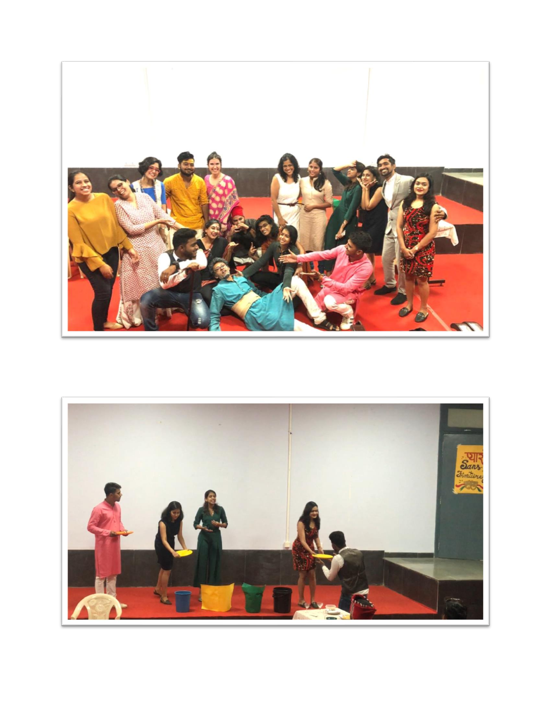